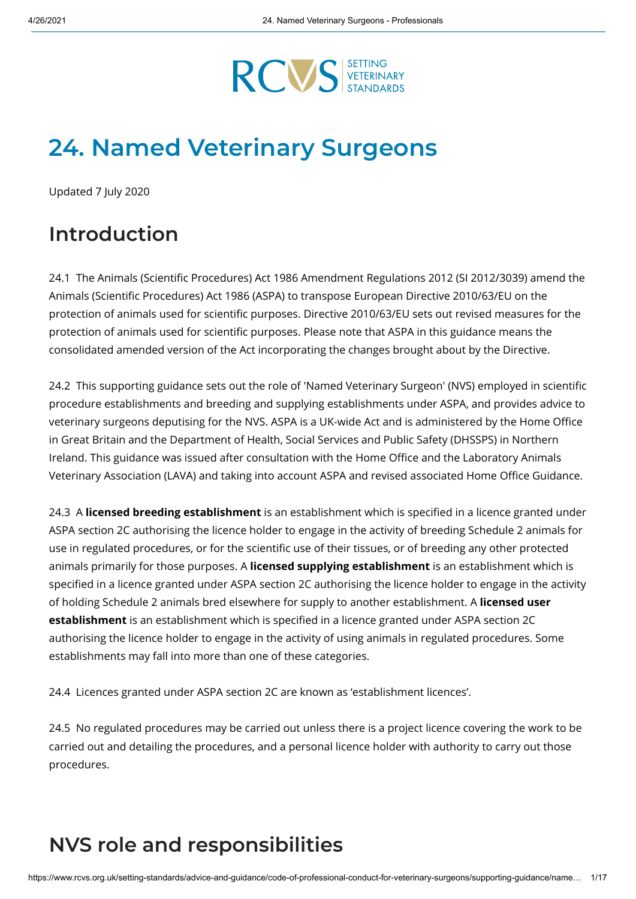

# **24. Named Veterinary Surgeons**

Updated 7 July 2020

## **Introduction**

24.1 The Animals (Scientific Procedures) Act 1986 Amendment Regulations 2012 (SI 2012/3039) amend the Animals (Scientific Procedures) Act 1986 (ASPA) to transpose European Directive 2010/63/EU on the protection of animals used for scientific purposes. Directive 2010/63/EU sets out revised measures for the protection of animals used for scientific purposes. Please note that ASPA in this guidance means the consolidated amended version of the Act incorporating the changes brought about by the Directive.

24.2 This supporting guidance sets out the role of 'Named Veterinary Surgeon' (NVS) employed in scientific procedure establishments and breeding and supplying establishments under ASPA, and provides advice to veterinary surgeons deputising for the NVS. ASPA is a UK-wide Act and is administered by the Home Office in Great Britain and the Department of Health, Social Services and Public Safety (DHSSPS) in Northern Ireland. This guidance was issued after consultation with the Home Office and the Laboratory Animals Veterinary Association (LAVA) and taking into account ASPA and revised associated Home Office Guidance.

24.3 A licensed breeding establishment is an establishment which is specified in a licence granted under ASPA section 2C authorising the licence holder to engage in the activity of breeding Schedule 2 animals for use in regulated procedures, or for the scientific use of their tissues, or of breeding any other protected animals primarily for those purposes. A **licensed supplying establishment** is an establishment which is specified in a licence granted under ASPA section 2C authorising the licence holder to engage in the activity of holding Schedule 2 animals bred elsewhere for supply to another establishment. A **licensed user establishment** is an establishment which is specified in a licence granted under ASPA section 2C authorising the licence holder to engage in the activity of using animals in regulated procedures. Some establishments may fall into more than one of these categories.

24.4 Licences granted under ASPA section 2C are known as 'establishment licences'.

24.5 No regulated procedures may be carried out unless there is a project licence covering the work to be carried out and detailing the procedures, and a personal licence holder with authority to carry out those procedures.

# **NVS role and responsibilities**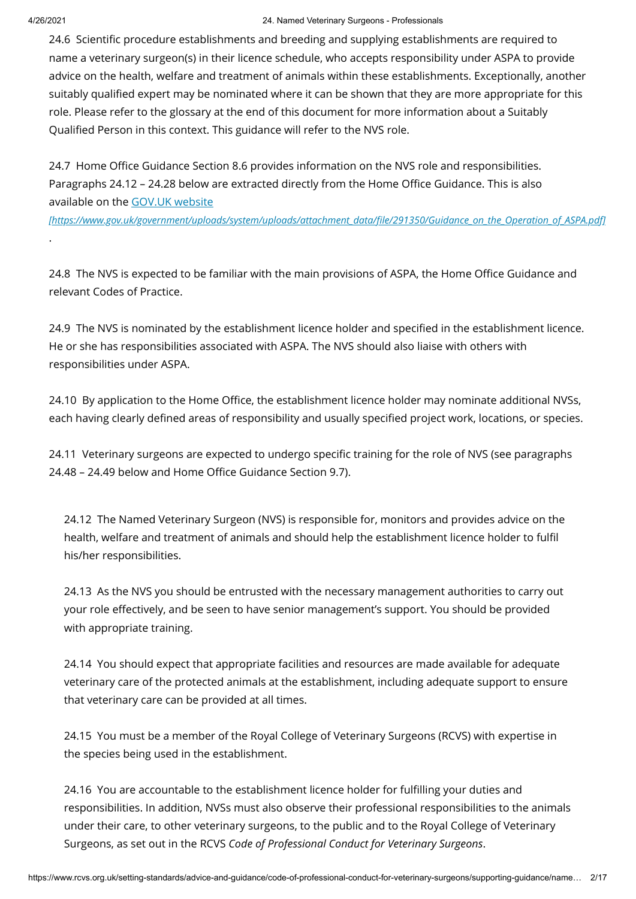.

#### 4/26/2021 24. Named Veterinary Surgeons - Professionals

24.6 Scientific procedure establishments and breeding and supplying establishments are required to name a veterinary surgeon(s) in their licence schedule, who accepts responsibility under ASPA to provide advice on the health, welfare and treatment of animals within these establishments. Exceptionally, another suitably qualified expert may be nominated where it can be shown that they are more appropriate for this role. Please refer to the glossary at the end of this document for more information about a Suitably Qualified Person in this context. This guidance will refer to the NVS role.

24.7 Home Office Guidance Section 8.6 provides information on the NVS role and responsibilities. Paragraphs 24.12 - 24.28 below are extracted directly from the Home Office Guidance. This is also available on the GOV.UK website

*[\[https://www.gov.uk/government/uploads/system/uploads/attachment\\_data/le/291350/Guidance\\_on\\_the\\_Operation\\_of\\_ASPA.pdf\]](https://www.gov.uk/government/uploads/system/uploads/attachment_data/file/291350/Guidance_on_the_Operation_of_ASPA.pdf)*

24.8 The NVS is expected to be familiar with the main provisions of ASPA, the Home Office Guidance and relevant Codes of Practice.

24.9 The NVS is nominated by the establishment licence holder and specified in the establishment licence. He or she has responsibilities associated with ASPA. The NVS should also liaise with others with responsibilities under ASPA.

24.10 By application to the Home Office, the establishment licence holder may nominate additional NVSs, each having clearly defined areas of responsibility and usually specified project work, locations, or species.

24.11 Veterinary surgeons are expected to undergo specific training for the role of NVS (see paragraphs 24.48 - 24.49 below and Home Office Guidance Section 9.7).

24.12 The Named Veterinary Surgeon (NVS) is responsible for, monitors and provides advice on the health, welfare and treatment of animals and should help the establishment licence holder to fulfil his/her responsibilities.

24.13 As the NVS you should be entrusted with the necessary management authorities to carry out your role effectively, and be seen to have senior management's support. You should be provided with appropriate training.

24.14 You should expect that appropriate facilities and resources are made available for adequate veterinary care of the protected animals at the establishment, including adequate support to ensure that veterinary care can be provided at all times.

24.15 You must be a member of the Royal College of Veterinary Surgeons (RCVS) with expertise in the species being used in the establishment.

24.16 You are accountable to the establishment licence holder for fulfilling your duties and responsibilities. In addition, NVSs must also observe their professional responsibilities to the animals under their care, to other veterinary surgeons, to the public and to the Royal College of Veterinary Surgeons, as set out in the RCVS *Code of Professional Conduct for Veterinary Surgeons*.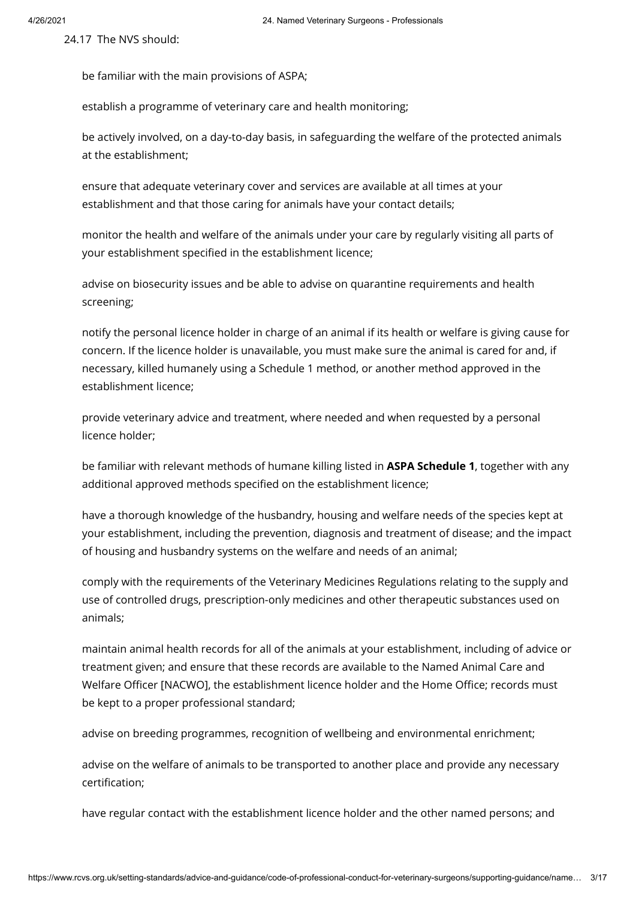24.17 The NVS should:

be familiar with the main provisions of ASPA;

establish a programme of veterinary care and health monitoring;

be actively involved, on a day-to-day basis, in safeguarding the welfare of the protected animals at the establishment;

ensure that adequate veterinary cover and services are available at all times at your establishment and that those caring for animals have your contact details;

monitor the health and welfare of the animals under your care by regularly visiting all parts of your establishment specified in the establishment licence;

advise on biosecurity issues and be able to advise on quarantine requirements and health screening;

notify the personal licence holder in charge of an animal if its health or welfare is giving cause for concern. If the licence holder is unavailable, you must make sure the animal is cared for and, if necessary, killed humanely using a Schedule 1 method, or another method approved in the establishment licence;

provide veterinary advice and treatment, where needed and when requested by a personal licence holder;

be familiar with relevant methods of humane killing listed in **ASPA Schedule 1**, together with any additional approved methods specified on the establishment licence;

have a thorough knowledge of the husbandry, housing and welfare needs of the species kept at your establishment, including the prevention, diagnosis and treatment of disease; and the impact of housing and husbandry systems on the welfare and needs of an animal;

comply with the requirements of the Veterinary Medicines Regulations relating to the supply and use of controlled drugs, prescription-only medicines and other therapeutic substances used on animals;

maintain animal health records for all of the animals at your establishment, including of advice or treatment given; and ensure that these records are available to the Named Animal Care and Welfare Officer [NACWO], the establishment licence holder and the Home Office; records must be kept to a proper professional standard;

advise on breeding programmes, recognition of wellbeing and environmental enrichment;

advise on the welfare of animals to be transported to another place and provide any necessary certification:

have regular contact with the establishment licence holder and the other named persons; and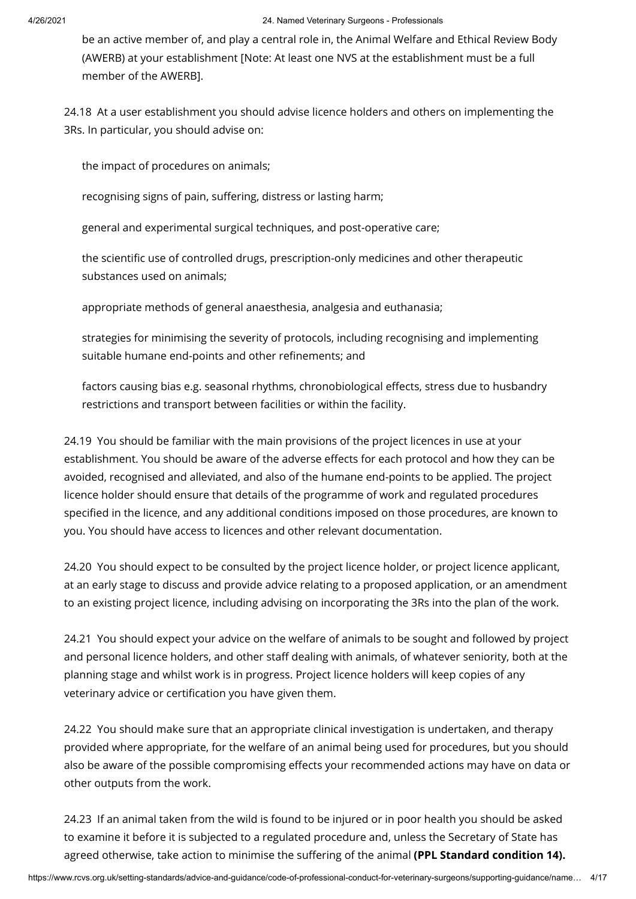be an active member of, and play a central role in, the Animal Welfare and Ethical Review Body (AWERB) at your establishment [Note: At least one NVS at the establishment must be a full member of the AWERB].

24.18 At a user establishment you should advise licence holders and others on implementing the 3Rs. In particular, you should advise on:

the impact of procedures on animals;

recognising signs of pain, suffering, distress or lasting harm;

general and experimental surgical techniques, and post-operative care;

the scientific use of controlled drugs, prescription-only medicines and other therapeutic substances used on animals;

appropriate methods of general anaesthesia, analgesia and euthanasia;

strategies for minimising the severity of protocols, including recognising and implementing suitable humane end-points and other refinements; and

factors causing bias e.g. seasonal rhythms, chronobiological effects, stress due to husbandry restrictions and transport between facilities or within the facility.

24.19 You should be familiar with the main provisions of the project licences in use at your establishment. You should be aware of the adverse effects for each protocol and how they can be avoided, recognised and alleviated, and also of the humane end-points to be applied. The project licence holder should ensure that details of the programme of work and regulated procedures specified in the licence, and any additional conditions imposed on those procedures, are known to you. You should have access to licences and other relevant documentation.

24.20 You should expect to be consulted by the project licence holder, or project licence applicant, at an early stage to discuss and provide advice relating to a proposed application, or an amendment to an existing project licence, including advising on incorporating the 3Rs into the plan of the work.

24.21 You should expect your advice on the welfare of animals to be sought and followed by project and personal licence holders, and other staff dealing with animals, of whatever seniority, both at the planning stage and whilst work is in progress. Project licence holders will keep copies of any veterinary advice or certification you have given them.

24.22 You should make sure that an appropriate clinical investigation is undertaken, and therapy provided where appropriate, for the welfare of an animal being used for procedures, but you should also be aware of the possible compromising effects your recommended actions may have on data or other outputs from the work.

24.23 If an animal taken from the wild is found to be injured or in poor health you should be asked to examine it before it is subjected to a regulated procedure and, unless the Secretary of State has agreed otherwise, take action to minimise the suffering of the animal (PPL Standard condition 14).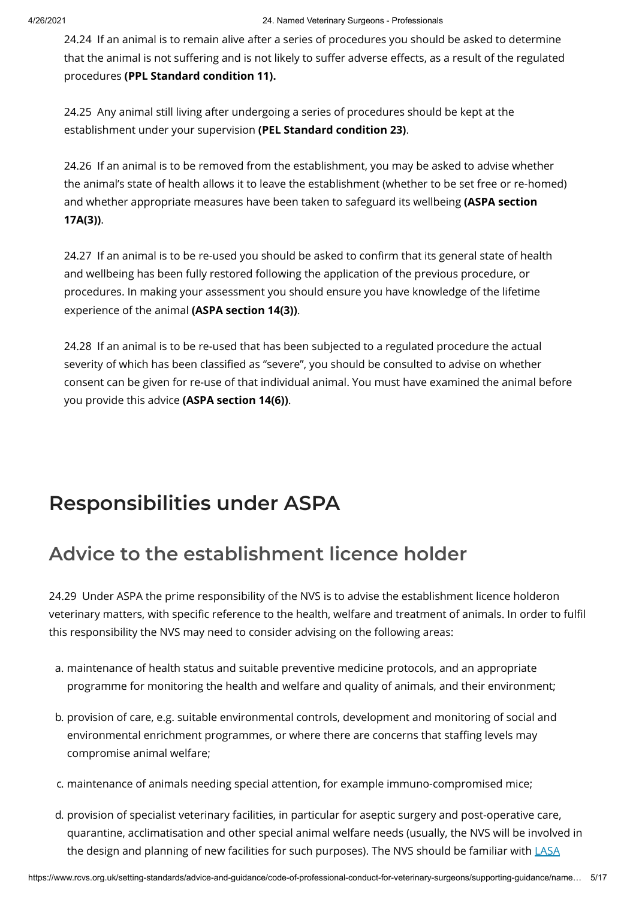24.24 If an animal is to remain alive after a series of procedures you should be asked to determine that the animal is not suffering and is not likely to suffer adverse effects, as a result of the regulated procedures **(PPL Standard condition 11).**

24.25 Any animal still living after undergoing a series of procedures should be kept at the establishment under your supervision **(PEL Standard condition 23)**.

24.26 If an animal is to be removed from the establishment, you may be asked to advise whether the animal's state of health allows it to leave the establishment (whether to be set free or re-homed) and whether appropriate measures have been taken to safeguard its wellbeing **(ASPA section 17A(3))**.

24.27 If an animal is to be re-used you should be asked to confirm that its general state of health and wellbeing has been fully restored following the application of the previous procedure, or procedures. In making your assessment you should ensure you have knowledge of the lifetime experience of the animal **(ASPA section 14(3))**.

24.28 If an animal is to be re-used that has been subjected to a regulated procedure the actual severity of which has been classified as "severe", you should be consulted to advise on whether consent can be given for re-use of that individual animal. You must have examined the animal before you provide this advice **(ASPA section 14(6))**.

# **Responsibilities under ASPA**

# **Advice to the establishment licence holder**

24.29 Under ASPA the prime responsibility of the NVS is to advise the establishment licence holderon veterinary matters, with specific reference to the health, welfare and treatment of animals. In order to fulfil this responsibility the NVS may need to consider advising on the following areas:

- a. maintenance of health status and suitable preventive medicine protocols, and an appropriate programme for monitoring the health and welfare and quality of animals, and their environment;
- b. provision of care, e.g. suitable environmental controls, development and monitoring of social and environmental enrichment programmes, or where there are concerns that staffing levels may compromise animal welfare;
- c. maintenance of animals needing special attention, for example immuno-compromised mice;
- d. provision of specialist veterinary facilities, in particular for aseptic surgery and post-operative care, quarantine, acclimatisation and other special animal welfare needs (usually, the NVS will be involved in the design and planning of new facilities for such [purposes\). The](http://www.lasa.co.uk/PDF/LASA_Guiding_Principles_Aseptic_Surgery_2010.2.pdf) NVS should be familiar with LASA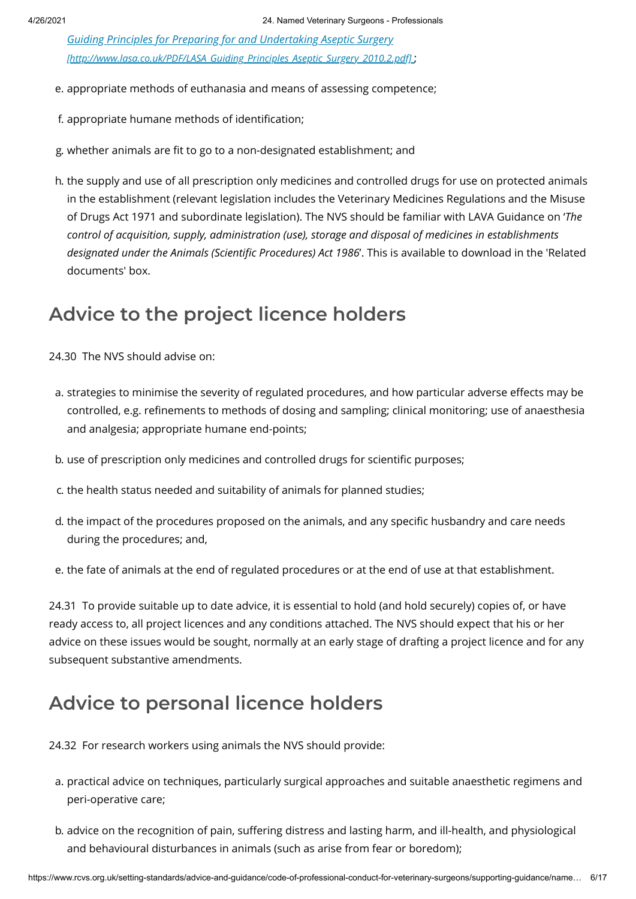*Guiding Principles for Preparing for and Undertaking Aseptic Surgery [\[http://www.lasa.co.uk/PDF/LASA\\_Guiding\\_Principles\\_Aseptic\\_Surgery\\_2010.2.pdf\]](http://www.lasa.co.uk/PDF/LASA_Guiding_Principles_Aseptic_Surgery_2010.2.pdf)* ;

- e. appropriate methods of euthanasia and means of assessing competence;
- f. appropriate humane methods of identification;
- g. whether animals are fit to go to a non-designated establishment; and
- h. the supply and use of all prescription only medicines and controlled drugs for use on protected animals in the establishment (relevant legislation includes the Veterinary Medicines Regulations and the Misuse of Drugs Act 1971 and subordinate legislation). The NVS should be familiar with LAVA Guidance on '*The control of acquisition, supply, administration (use), storage and disposal of medicines in establishments designated under the Animals (Scientific Procedures) Act 1986'. This is available to download in the 'Related* documents' box.

#### **Advice to the project licence holders**

24.30 The NVS should advise on:

- a. strategies to minimise the severity of regulated procedures, and how particular adverse effects may be controlled, e.g. refinements to methods of dosing and sampling; clinical monitoring; use of anaesthesia and analgesia; appropriate humane end-points;
- b. use of prescription only medicines and controlled drugs for scientific purposes;
- c. the health status needed and suitability of animals for planned studies;
- d, the impact of the procedures proposed on the animals, and any specific husbandry and care needs during the procedures; and,
- e. the fate of animals at the end of regulated procedures or at the end of use at that establishment.

24.31 To provide suitable up to date advice, it is essential to hold (and hold securely) copies of, or have ready access to, all project licences and any conditions attached. The NVS should expect that his or her advice on these issues would be sought, normally at an early stage of drafting a project licence and for any subsequent substantive amendments.

#### **Advice to personal licence holders**

24.32 For research workers using animals the NVS should provide:

- a. practical advice on techniques, particularly surgical approaches and suitable anaesthetic regimens and peri-operative care;
- b. advice on the recognition of pain, suffering distress and lasting harm, and ill-health, and physiological and behavioural disturbances in animals (such as arise from fear or boredom);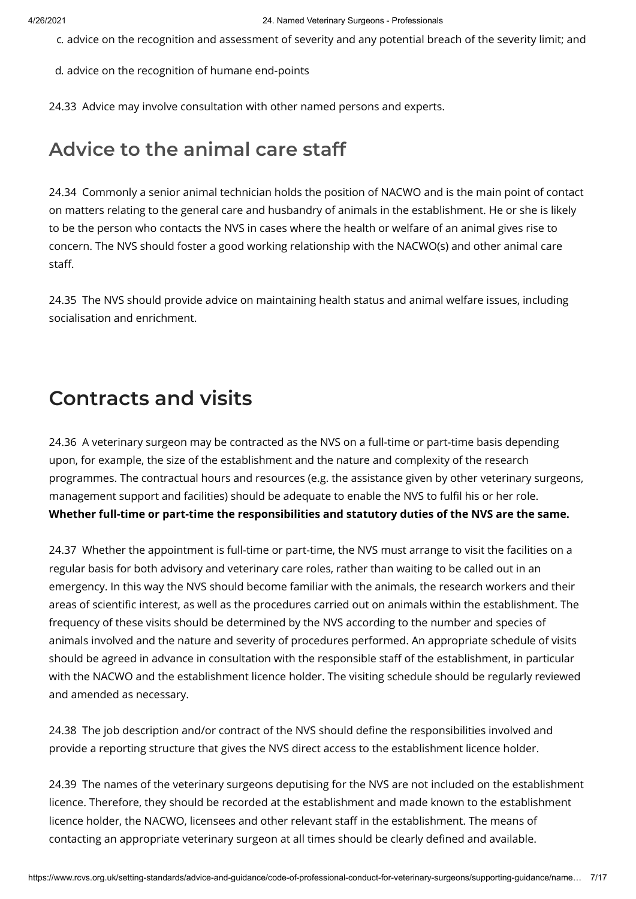c. advice on the recognition and assessment of severity and any potential breach of the severity limit; and

d. advice on the recognition of humane end-points

24.33 Advice may involve consultation with other named persons and experts.

#### **Advice to the animal care staff**

24.34 Commonly a senior animal technician holds the position of NACWO and is the main point of contact on matters relating to the general care and husbandry of animals in the establishment. He or she is likely to be the person who contacts the NVS in cases where the health or welfare of an animal gives rise to concern. The NVS should foster a good working relationship with the NACWO(s) and other animal care staff.

24.35 The NVS should provide advice on maintaining health status and animal welfare issues, including socialisation and enrichment.

#### **Contracts and visits**

24.36 A veterinary surgeon may be contracted as the NVS on a full-time or part-time basis depending upon, for example, the size of the establishment and the nature and complexity of the research programmes. The contractual hours and resources (e.g. the assistance given by other veterinary surgeons, management support and facilities) should be adequate to enable the NVS to fulfil his or her role. **Whether full-time or part-time the responsibilities and statutory duties of the NVS are the same.**

24.37 Whether the appointment is full-time or part-time, the NVS must arrange to visit the facilities on a regular basis for both advisory and veterinary care roles, rather than waiting to be called out in an emergency. In this way the NVS should become familiar with the animals, the research workers and their areas of scientific interest, as well as the procedures carried out on animals within the establishment. The frequency of these visits should be determined by the NVS according to the number and species of animals involved and the nature and severity of procedures performed. An appropriate schedule of visits should be agreed in advance in consultation with the responsible staff of the establishment, in particular with the NACWO and the establishment licence holder. The visiting schedule should be regularly reviewed and amended as necessary.

24.38 The job description and/or contract of the NVS should define the responsibilities involved and provide a reporting structure that gives the NVS direct access to the establishment licence holder.

24.39 The names of the veterinary surgeons deputising for the NVS are not included on the establishment licence. Therefore, they should be recorded at the establishment and made known to the establishment licence holder, the NACWO, licensees and other relevant staff in the establishment. The means of contacting an appropriate veterinary surgeon at all times should be clearly defined and available.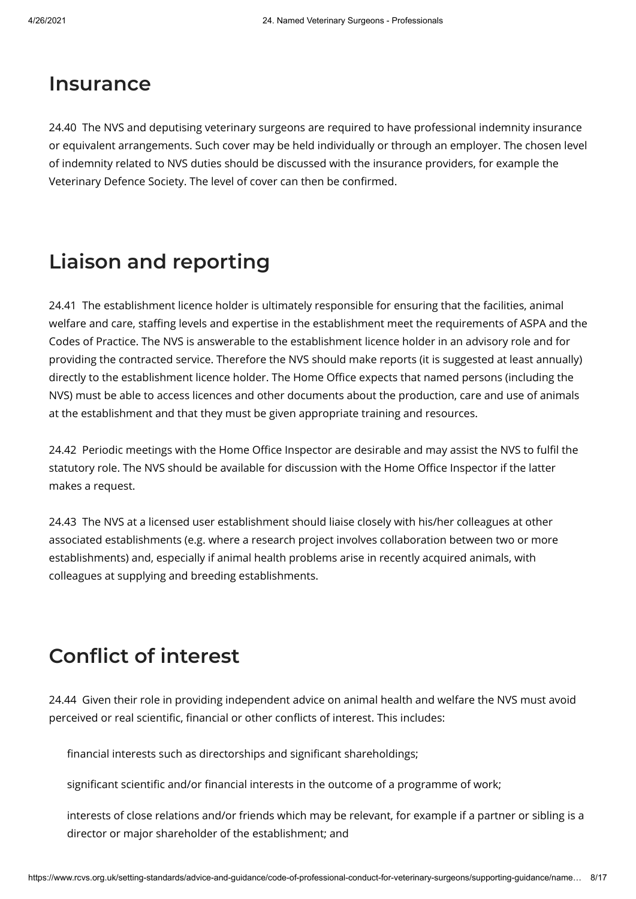#### **Insurance**

24.40 The NVS and deputising veterinary surgeons are required to have professional indemnity insurance or equivalent arrangements. Such cover may be held individually or through an employer. The chosen level of indemnity related to NVS duties should be discussed with the insurance providers, for example the Veterinary Defence Society. The level of cover can then be confirmed.

### **Liaison and reporting**

24.41 The establishment licence holder is ultimately responsible for ensuring that the facilities, animal welfare and care, staffing levels and expertise in the establishment meet the requirements of ASPA and the Codes of Practice. The NVS is answerable to the establishment licence holder in an advisory role and for providing the contracted service. Therefore the NVS should make reports (it is suggested at least annually) directly to the establishment licence holder. The Home Office expects that named persons (including the NVS) must be able to access licences and other documents about the production, care and use of animals at the establishment and that they must be given appropriate training and resources.

24.42 Periodic meetings with the Home Office Inspector are desirable and may assist the NVS to fulfil the statutory role. The NVS should be available for discussion with the Home Office Inspector if the latter makes a request.

24.43 The NVS at a licensed user establishment should liaise closely with his/her colleagues at other associated establishments (e.g. where a research project involves collaboration between two or more establishments) and, especially if animal health problems arise in recently acquired animals, with colleagues at supplying and breeding establishments.

## **Conflict of interest**

24.44 Given their role in providing independent advice on animal health and welfare the NVS must avoid perceived or real scientific, financial or other conflicts of interest. This includes:

financial interests such as directorships and significant shareholdings;

significant scientific and/or financial interests in the outcome of a programme of work;

interests of close relations and/or friends which may be relevant, for example if a partner or sibling is a director or major shareholder of the establishment; and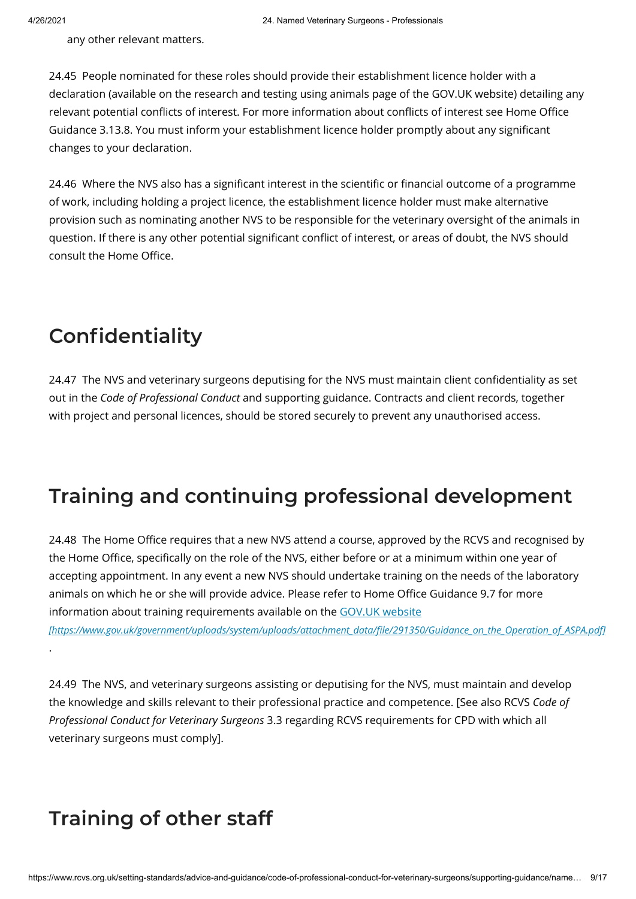any other relevant matters.

24.45 People nominated for these roles should provide their establishment licence holder with a declaration (available on the research and testing using animals page of the GOV.UK website) detailing any relevant potential conflicts of interest. For more information about conflicts of interest see Home Office Guidance 3.13.8. You must inform your establishment licence holder promptly about any significant changes to your declaration.

24.46 Where the NVS also has a significant interest in the scientific or financial outcome of a programme of work, including holding a project licence, the establishment licence holder must make alternative provision such as nominating another NVS to be responsible for the veterinary oversight of the animals in question. If there is any other potential significant conflict of interest, or areas of doubt, the NVS should consult the Home Office.

## **Confidentiality**

24.47 The NVS and veterinary surgeons deputising for the NVS must maintain client confidentiality as set out in the *Code of Professional Conduct* and supporting guidance. Contracts and client records, together with project and personal licences, should be stored securely to prevent any unauthorised access.

## **Training and continuing professional development**

24.48 The Home Office requires that a new NVS attend a course, approved by the RCVS and recognised by the Home Office, specifically on the role of the NVS, either before or at a minimum within one year of accepting appointment. In any event a new NVS should undertake training on the needs of the laboratory animals on which he or she will provide advice. Please refer to Home Office Guidance 9.7 for more information about training requirements available on the GOV.UK website

*[\[https://www.gov.uk/government/uploads/system/uploads/attachment\\_data/le/291350/Guidance\\_on\\_the\\_Operation\\_of\\_ASPA.pdf\]](https://www.gov.uk/government/uploads/system/uploads/attachment_data/file/291350/Guidance_on_the_Operation_of_ASPA.pdf)* .

24.49 The NVS, and veterinary surgeons assisting or deputising for the NVS, must maintain and develop the knowledge and skills relevant to their professional practice and competence. [See also RCVS *Code of Professional Conduct for Veterinary Surgeons* 3.3 regarding RCVS requirements for CPD with which all veterinary surgeons must comply].

## **Training of other staff**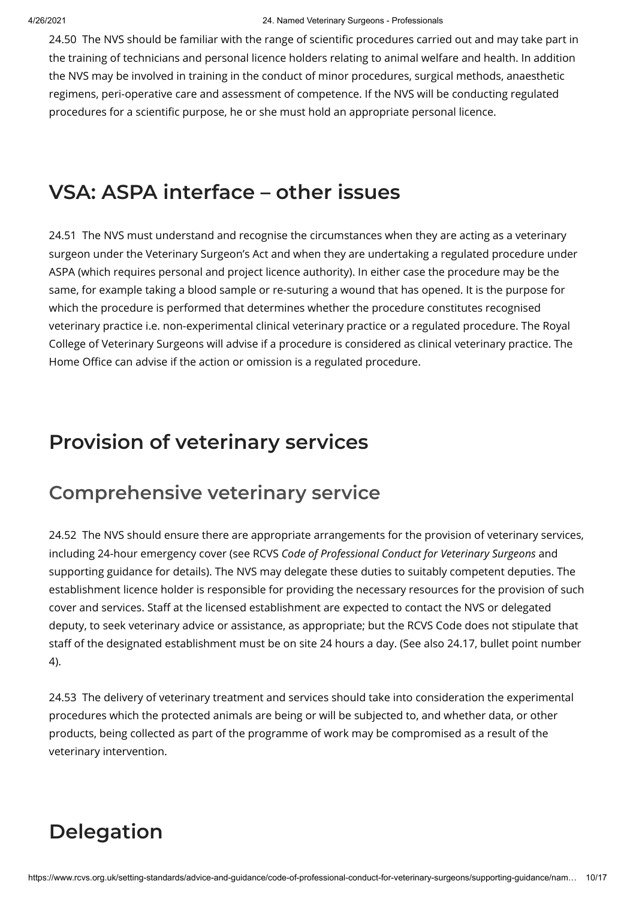24.50 The NVS should be familiar with the range of scientific procedures carried out and may take part in the training of technicians and personal licence holders relating to animal welfare and health. In addition the NVS may be involved in training in the conduct of minor procedures, surgical methods, anaesthetic regimens, peri-operative care and assessment of competence. If the NVS will be conducting regulated procedures for a scientific purpose, he or she must hold an appropriate personal licence.

### **VSA: ASPA interface – other issues**

24.51 The NVS must understand and recognise the circumstances when they are acting as a veterinary surgeon under the Veterinary Surgeon's Act and when they are undertaking a regulated procedure under ASPA (which requires personal and project licence authority). In either case the procedure may be the same, for example taking a blood sample or re-suturing a wound that has opened. It is the purpose for which the procedure is performed that determines whether the procedure constitutes recognised veterinary practice i.e. non-experimental clinical veterinary practice or a regulated procedure. The Royal College of Veterinary Surgeons will advise if a procedure is considered as clinical veterinary practice. The Home Office can advise if the action or omission is a regulated procedure.

### **Provision of veterinary services**

#### **Comprehensive veterinary service**

24.52 The NVS should ensure there are appropriate arrangements for the provision of veterinary services, including 24-hour emergency cover (see RCVS *Code of Professional Conduct for Veterinary Surgeons* and supporting guidance for details). The NVS may delegate these duties to suitably competent deputies. The establishment licence holder is responsible for providing the necessary resources for the provision of such cover and services. Staff at the licensed establishment are expected to contact the NVS or delegated deputy, to seek veterinary advice or assistance, as appropriate; but the RCVS Code does not stipulate that staff of the designated establishment must be on site 24 hours a day. (See also 24.17, bullet point number 4).

24.53 The delivery of veterinary treatment and services should take into consideration the experimental procedures which the protected animals are being or will be subjected to, and whether data, or other products, being collected as part of the programme of work may be compromised as a result of the veterinary intervention.

# **Delegation**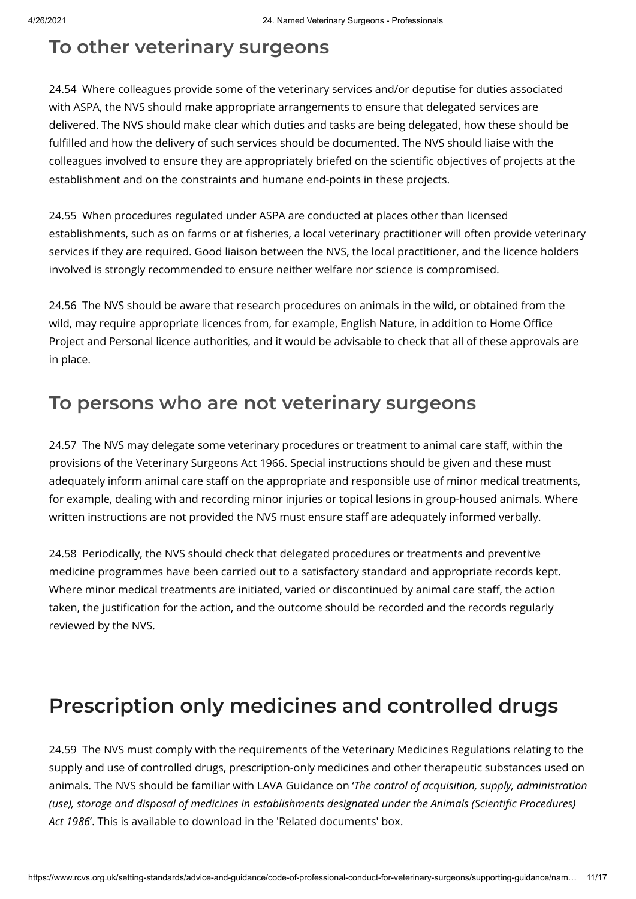#### **To other veterinary surgeons**

24.54 Where colleagues provide some of the veterinary services and/or deputise for duties associated with ASPA, the NVS should make appropriate arrangements to ensure that delegated services are delivered. The NVS should make clear which duties and tasks are being delegated, how these should be fulfilled and how the delivery of such services should be documented. The NVS should liaise with the colleagues involved to ensure they are appropriately briefed on the scientific objectives of projects at the establishment and on the constraints and humane end-points in these projects.

24.55 When procedures regulated under ASPA are conducted at places other than licensed establishments, such as on farms or at fisheries, a local veterinary practitioner will often provide veterinary services if they are required. Good liaison between the NVS, the local practitioner, and the licence holders involved is strongly recommended to ensure neither welfare nor science is compromised.

24.56 The NVS should be aware that research procedures on animals in the wild, or obtained from the wild, may require appropriate licences from, for example, English Nature, in addition to Home Office Project and Personal licence authorities, and it would be advisable to check that all of these approvals are in place.

#### **To persons who are not veterinary surgeons**

24.57 The NVS may delegate some veterinary procedures or treatment to animal care staff, within the provisions of the Veterinary Surgeons Act 1966. Special instructions should be given and these must adequately inform animal care staff on the appropriate and responsible use of minor medical treatments, for example, dealing with and recording minor injuries or topical lesions in group-housed animals. Where written instructions are not provided the NVS must ensure staff are adequately informed verbally.

24.58 Periodically, the NVS should check that delegated procedures or treatments and preventive medicine programmes have been carried out to a satisfactory standard and appropriate records kept. Where minor medical treatments are initiated, varied or discontinued by animal care staff, the action taken, the justification for the action, and the outcome should be recorded and the records regularly reviewed by the NVS.

# **Prescription only medicines and controlled drugs**

24.59 The NVS must comply with the requirements of the Veterinary Medicines Regulations relating to the supply and use of controlled drugs, prescription-only medicines and other therapeutic substances used on animals. The NVS should be familiar with LAVA Guidance on '*The control of acquisition, supply, administration (use), storage and disposal of medicines in establishments designated under the Animals (Scientic Procedures) Act 1986*'. This is available to download in the 'Related documents' box.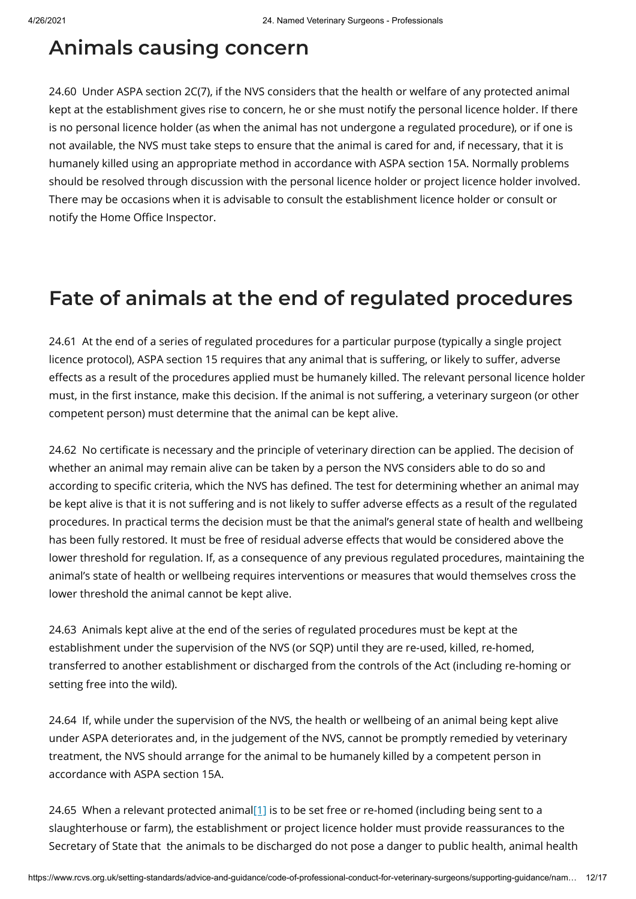#### **Animals causing concern**

24.60 Under ASPA section 2C(7), if the NVS considers that the health or welfare of any protected animal kept at the establishment gives rise to concern, he or she must notify the personal licence holder. If there is no personal licence holder (as when the animal has not undergone a regulated procedure), or if one is not available, the NVS must take steps to ensure that the animal is cared for and, if necessary, that it is humanely killed using an appropriate method in accordance with ASPA section 15A. Normally problems should be resolved through discussion with the personal licence holder or project licence holder involved. There may be occasions when it is advisable to consult the establishment licence holder or consult or notify the Home Office Inspector.

## **Fate of animals at the end of regulated procedures**

24.61 At the end of a series of regulated procedures for a particular purpose (typically a single project licence protocol), ASPA section 15 requires that any animal that is suffering, or likely to suffer, adverse effects as a result of the procedures applied must be humanely killed. The relevant personal licence holder must, in the first instance, make this decision. If the animal is not suffering, a veterinary surgeon (or other competent person) must determine that the animal can be kept alive.

24.62 No certificate is necessary and the principle of veterinary direction can be applied. The decision of whether an animal may remain alive can be taken by a person the NVS considers able to do so and according to specific criteria, which the NVS has defined. The test for determining whether an animal may be kept alive is that it is not suffering and is not likely to suffer adverse effects as a result of the regulated procedures. In practical terms the decision must be that the animal's general state of health and wellbeing has been fully restored. It must be free of residual adverse effects that would be considered above the lower threshold for regulation. If, as a consequence of any previous regulated procedures, maintaining the animal's state of health or wellbeing requires interventions or measures that would themselves cross the lower threshold the animal cannot be kept alive.

24.63 Animals kept alive at the end of the series of regulated procedures must be kept at the establishment under the supervision of the NVS (or SQP) until they are re-used, killed, re-homed, transferred to another establishment or discharged from the controls of the Act (including re-homing or setting free into the wild).

24.64 If, while under the supervision of the NVS, the health or wellbeing of an animal being kept alive under ASPA deteriorates and, in the judgement of the NVS, cannot be promptly remedied by veterinary treatment, the NVS should arrange for the animal to be humanely killed by a competent person in accordance with ASPA section 15A.

<span id="page-11-0"></span>24.65 When a relevant protected animal $[1]$  is to be set free or re-homed (including being sent to a slaughterhouse or farm), the establishment or project licence holder must provide reassurances to the Secretary of State that the animals to be discharged do not pose a danger to public health, animal health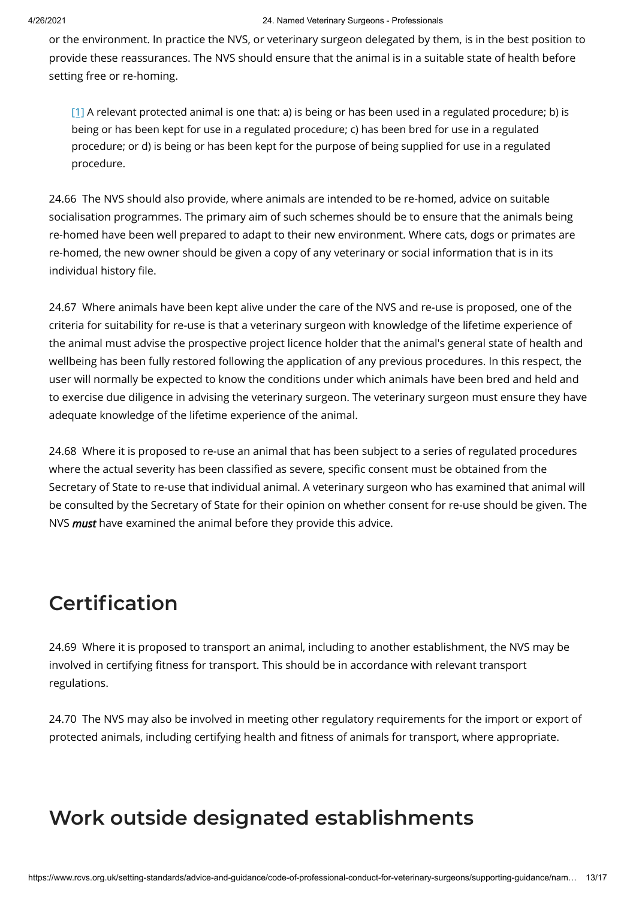or the environment. In practice the NVS, or veterinary surgeon delegated by them, is in the best position to provide these reassurances. The NVS should ensure that the animal is in a suitable state of health before setting free or re-homing.

<span id="page-12-0"></span> $[1]$  A relevant protected animal is one that: a) is being or has been used in a regulated procedure; b) is being or has been kept for use in a regulated procedure; c) has been bred for use in a regulated procedure; or d) is being or has been kept for the purpose of being supplied for use in a regulated procedure.

24.66 The NVS should also provide, where animals are intended to be re-homed, advice on suitable socialisation programmes. The primary aim of such schemes should be to ensure that the animals being re-homed have been well prepared to adapt to their new environment. Where cats, dogs or primates are re-homed, the new owner should be given a copy of any veterinary or social information that is in its individual history file.

24.67 Where animals have been kept alive under the care of the NVS and re-use is proposed, one of the criteria for suitability for re-use is that a veterinary surgeon with knowledge of the lifetime experience of the animal must advise the prospective project licence holder that the animal's general state of health and wellbeing has been fully restored following the application of any previous procedures. In this respect, the user will normally be expected to know the conditions under which animals have been bred and held and to exercise due diligence in advising the veterinary surgeon. The veterinary surgeon must ensure they have adequate knowledge of the lifetime experience of the animal.

24.68 Where it is proposed to re-use an animal that has been subject to a series of regulated procedures where the actual severity has been classified as severe, specific consent must be obtained from the Secretary of State to re-use that individual animal. A veterinary surgeon who has examined that animal will be consulted by the Secretary of State for their opinion on whether consent for re-use should be given. The NVS *must* have examined the animal before they provide this advice.

# **Certification**

24.69 Where it is proposed to transport an animal, including to another establishment, the NVS may be involved in certifying fitness for transport. This should be in accordance with relevant transport regulations.

24.70 The NVS may also be involved in meeting other regulatory requirements for the import or export of protected animals, including certifying health and fitness of animals for transport, where appropriate.

## **Work outside designated establishments**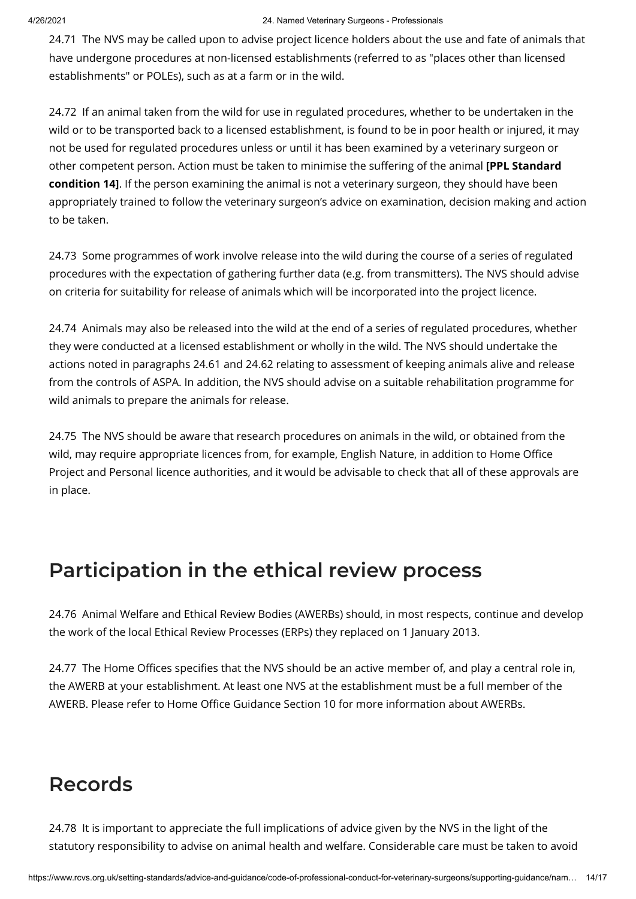#### 4/26/2021 24. Named Veterinary Surgeons - Professionals

24.71 The NVS may be called upon to advise project licence holders about the use and fate of animals that have undergone procedures at non-licensed establishments (referred to as "places other than licensed establishments" or POLEs), such as at a farm or in the wild.

24.72 If an animal taken from the wild for use in regulated procedures, whether to be undertaken in the wild or to be transported back to a licensed establishment, is found to be in poor health or injured, it may not be used for regulated procedures unless or until it has been examined by a veterinary surgeon or other competent person. Action must be taken to minimise the suffering of the animal **[PPL Standard condition 14]**. If the person examining the animal is not a veterinary surgeon, they should have been appropriately trained to follow the veterinary surgeon's advice on examination, decision making and action to be taken.

24.73 Some programmes of work involve release into the wild during the course of a series of regulated procedures with the expectation of gathering further data (e.g. from transmitters). The NVS should advise on criteria for suitability for release of animals which will be incorporated into the project licence.

24.74 Animals may also be released into the wild at the end of a series of regulated procedures, whether they were conducted at a licensed establishment or wholly in the wild. The NVS should undertake the actions noted in paragraphs 24.61 and 24.62 relating to assessment of keeping animals alive and release from the controls of ASPA. In addition, the NVS should advise on a suitable rehabilitation programme for wild animals to prepare the animals for release.

24.75 The NVS should be aware that research procedures on animals in the wild, or obtained from the wild, may require appropriate licences from, for example, English Nature, in addition to Home Office Project and Personal licence authorities, and it would be advisable to check that all of these approvals are in place.

## **Participation in the ethical review process**

24.76 Animal Welfare and Ethical Review Bodies (AWERBs) should, in most respects, continue and develop the work of the local Ethical Review Processes (ERPs) they replaced on 1 January 2013.

24.77 The Home Offices specifies that the NVS should be an active member of, and play a central role in, the AWERB at your establishment. At least one NVS at the establishment must be a full member of the AWERB. Please refer to Home Office Guidance Section 10 for more information about AWERBs.

## **Records**

24.78 It is important to appreciate the full implications of advice given by the NVS in the light of the statutory responsibility to advise on animal health and welfare. Considerable care must be taken to avoid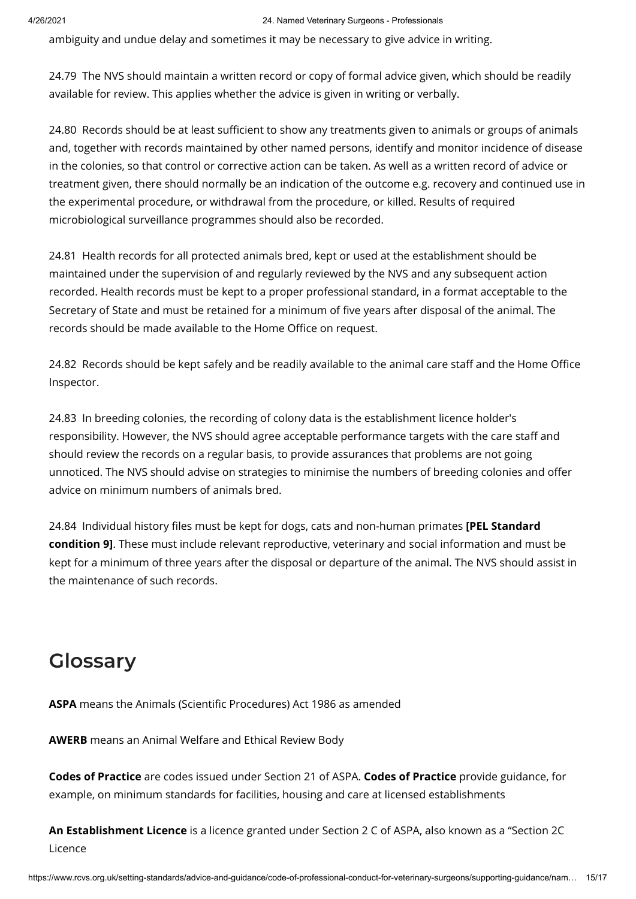ambiguity and undue delay and sometimes it may be necessary to give advice in writing.

24.79 The NVS should maintain a written record or copy of formal advice given, which should be readily available for review. This applies whether the advice is given in writing or verbally.

24.80 Records should be at least sufficient to show any treatments given to animals or groups of animals and, together with records maintained by other named persons, identify and monitor incidence of disease in the colonies, so that control or corrective action can be taken. As well as a written record of advice or treatment given, there should normally be an indication of the outcome e.g. recovery and continued use in the experimental procedure, or withdrawal from the procedure, or killed. Results of required microbiological surveillance programmes should also be recorded.

24.81 Health records for all protected animals bred, kept or used at the establishment should be maintained under the supervision of and regularly reviewed by the NVS and any subsequent action recorded. Health records must be kept to a proper professional standard, in a format acceptable to the Secretary of State and must be retained for a minimum of five years after disposal of the animal. The records should be made available to the Home Office on request.

24.82 Records should be kept safely and be readily available to the animal care staff and the Home Office Inspector.

24.83 In breeding colonies, the recording of colony data is the establishment licence holder's responsibility. However, the NVS should agree acceptable performance targets with the care staff and should review the records on a regular basis, to provide assurances that problems are not going unnoticed. The NVS should advise on strategies to minimise the numbers of breeding colonies and offer advice on minimum numbers of animals bred.

24.84 Individual history files must be kept for dogs, cats and non-human primates **[PEL Standard condition 9]**. These must include relevant reproductive, veterinary and social information and must be kept for a minimum of three years after the disposal or departure of the animal. The NVS should assist in the maintenance of such records.

# **Glossary**

ASPA means the Animals (Scientific Procedures) Act 1986 as amended

**AWERB** means an Animal Welfare and Ethical Review Body

**Codes of Practice** are codes issued under Section 21 of ASPA. **Codes of Practice** provide guidance, for example, on minimum standards for facilities, housing and care at licensed establishments

**An Establishment Licence** is a licence granted under Section 2 C of ASPA, also known as a "Section 2C Licence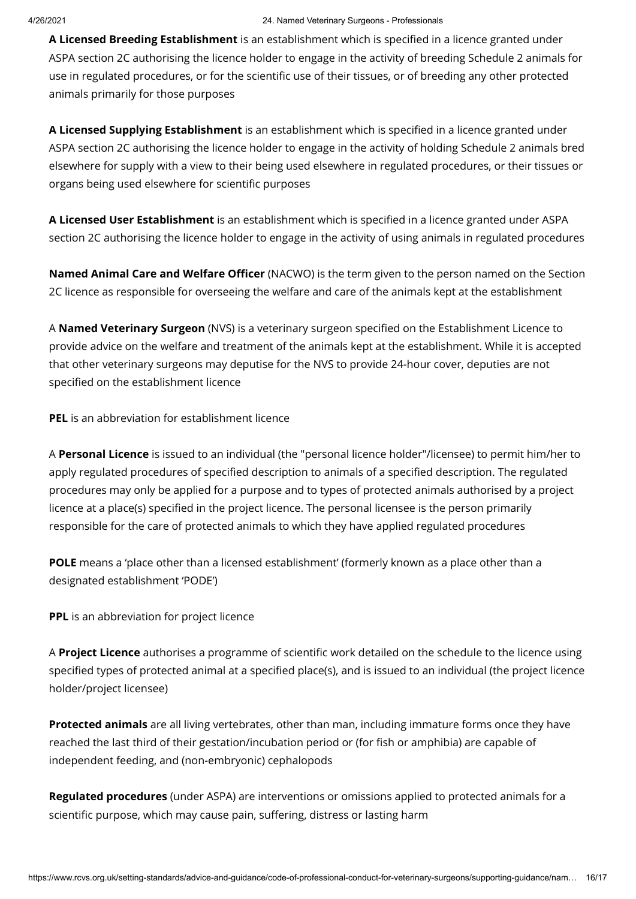A Licensed Breeding Establishment is an establishment which is specified in a licence granted under ASPA section 2C authorising the licence holder to engage in the activity of breeding Schedule 2 animals for use in regulated procedures, or for the scientific use of their tissues, or of breeding any other protected animals primarily for those purposes

A Licensed Supplying Establishment is an establishment which is specified in a licence granted under ASPA section 2C authorising the licence holder to engage in the activity of holding Schedule 2 animals bred elsewhere for supply with a view to their being used elsewhere in regulated procedures, or their tissues or organs being used elsewhere for scientific purposes

A **Licensed User Establishment** is an establishment which is specified in a licence granted under ASPA section 2C authorising the licence holder to engage in the activity of using animals in regulated procedures

**Named Animal Care and Welfare Officer** (NACWO) is the term given to the person named on the Section 2C licence as responsible for overseeing the welfare and care of the animals kept at the establishment

A **Named Veterinary Surgeon** (NVS) is a veterinary surgeon specified on the Establishment Licence to provide advice on the welfare and treatment of the animals kept at the establishment. While it is accepted that other veterinary surgeons may deputise for the NVS to provide 24-hour cover, deputies are not specified on the establishment licence

**PEL** is an abbreviation for establishment licence

A **Personal Licence** is issued to an individual (the "personal licence holder"/licensee) to permit him/her to apply regulated procedures of specified description to animals of a specified description. The regulated procedures may only be applied for a purpose and to types of protected animals authorised by a project licence at a place(s) specified in the project licence. The personal licensee is the person primarily responsible for the care of protected animals to which they have applied regulated procedures

**POLE** means a 'place other than a licensed establishment' (formerly known as a place other than a designated establishment 'PODE')

**PPL** is an abbreviation for project licence

A Project Licence authorises a programme of scientific work detailed on the schedule to the licence using specified types of protected animal at a specified place(s), and is issued to an individual (the project licence holder/project licensee)

**Protected animals** are all living vertebrates, other than man, including immature forms once they have reached the last third of their gestation/incubation period or (for fish or amphibia) are capable of independent feeding, and (non-embryonic) cephalopods

**Regulated procedures** (under ASPA) are interventions or omissions applied to protected animals for a scientific purpose, which may cause pain, suffering, distress or lasting harm